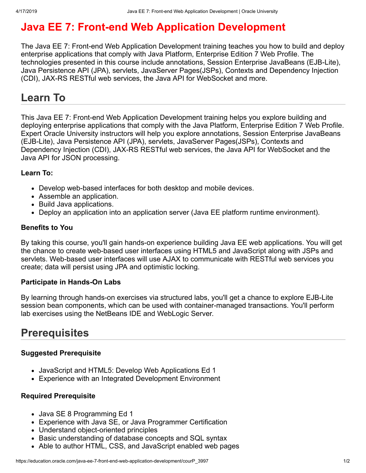# **Java EE 7: Front-end Web Application Development**

The Java EE 7: Front-end Web Application Development training teaches you how to build and deploy enterprise applications that comply with Java Platform, Enterprise Edition 7 Web Profile. The technologies presented in this course include annotations, Session Enterprise JavaBeans (EJB-Lite), Java Persistence API (JPA), servlets, JavaServer Pages(JSPs), Contexts and Dependency Injection (CDI), JAX-RS RESTful web services, the Java API for WebSocket and more.

# **Learn To**

This Java EE 7: Front-end Web Application Development training helps you explore building and deploying enterprise applications that comply with the Java Platform, Enterprise Edition 7 Web Profile. Expert Oracle University instructors will help you explore annotations, Session Enterprise JavaBeans (EJB-Lite), Java Persistence API (JPA), servlets, JavaServer Pages(JSPs), Contexts and Dependency Injection (CDI), JAX-RS RESTful web services, the Java API for WebSocket and the Java API for JSON processing.

### **Learn To:**

- Develop web-based interfaces for both desktop and mobile devices.
- Assemble an application.
- Build Java applications.
- Deploy an application into an application server (Java EE platform runtime environment).

### **Benefits to You**

By taking this course, you'll gain hands-on experience building Java EE web applications. You will get the chance to create web-based user interfaces using HTML5 and JavaScript along with JSPs and servlets. Web-based user interfaces will use AJAX to communicate with RESTful web services you create; data will persist using JPA and optimistic locking.

### **Participate in Hands-On Labs**

By learning through hands-on exercises via structured labs, you'll get a chance to explore EJB-Lite session bean components, which can be used with container-managed transactions. You'll perform lab exercises using the NetBeans IDE and WebLogic Server.

## **Prerequisites**

### **Suggested Prerequisite**

- JavaScript and HTML5: Develop Web Applications Ed 1
- Experience with an Integrated Development Environment

#### **Required Prerequisite**

- Java SE 8 Programming Ed 1
- Experience with Java SE, or Java Programmer Certification
- Understand object-oriented principles
- Basic understanding of database concepts and SQL syntax
- Able to author HTML, CSS, and JavaScript enabled web pages